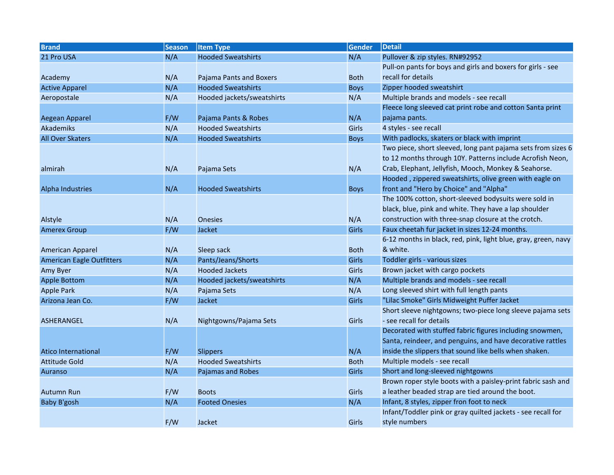| <b>Brand</b>                     | <b>Season</b> | <b>Item Type</b>           | <b>Gender</b> | <b>Detail</b>                                                  |
|----------------------------------|---------------|----------------------------|---------------|----------------------------------------------------------------|
| 21 Pro USA                       | N/A           | <b>Hooded Sweatshirts</b>  | N/A           | Pullover & zip styles. RN#92952                                |
|                                  |               |                            |               | Pull-on pants for boys and girls and boxers for girls - see    |
| Academy                          | N/A           | Pajama Pants and Boxers    | <b>Both</b>   | recall for details                                             |
| <b>Active Apparel</b>            | N/A           | <b>Hooded Sweatshirts</b>  | <b>Boys</b>   | Zipper hooded sweatshirt                                       |
| Aeropostale                      | N/A           | Hooded jackets/sweatshirts | N/A           | Multiple brands and models - see recall                        |
|                                  |               |                            |               | Fleece long sleeved cat print robe and cotton Santa print      |
| Aegean Apparel                   | F/W           | Pajama Pants & Robes       | N/A           | pajama pants.                                                  |
| Akademiks                        | N/A           | <b>Hooded Sweatshirts</b>  | Girls         | 4 styles - see recall                                          |
| <b>All Over Skaters</b>          | N/A           | <b>Hooded Sweatshirts</b>  | <b>Boys</b>   | With padlocks, skaters or black with imprint                   |
|                                  |               |                            |               | Two piece, short sleeved, long pant pajama sets from sizes 6   |
|                                  |               |                            |               | to 12 months through 10Y. Patterns include Acrofish Neon,      |
| almirah                          | N/A           | Pajama Sets                | N/A           | Crab, Elephant, Jellyfish, Mooch, Monkey & Seahorse.           |
|                                  |               |                            |               | Hooded, zippered sweatshirts, olive green with eagle on        |
| <b>Alpha Industries</b>          | N/A           | <b>Hooded Sweatshirts</b>  | <b>Boys</b>   | front and "Hero by Choice" and "Alpha"                         |
|                                  |               |                            |               | The 100% cotton, short-sleeved bodysuits were sold in          |
|                                  |               |                            |               | black, blue, pink and white. They have a lap shoulder          |
| Alstyle                          | N/A           | <b>Onesies</b>             | N/A           | construction with three-snap closure at the crotch.            |
| <b>Amerex Group</b>              | F/W           | <b>Jacket</b>              | Girls         | Faux cheetah fur jacket in sizes 12-24 months.                 |
|                                  |               |                            |               | 6-12 months in black, red, pink, light blue, gray, green, navy |
| American Apparel                 | N/A           | Sleep sack                 | <b>Both</b>   | & white.                                                       |
| <b>American Eagle Outfitters</b> | N/A           | Pants/Jeans/Shorts         | <b>Girls</b>  | Toddler girls - various sizes                                  |
| Amy Byer                         | N/A           | <b>Hooded Jackets</b>      | Girls         | Brown jacket with cargo pockets                                |
| <b>Apple Bottom</b>              | N/A           | Hooded jackets/sweatshirts | N/A           | Multiple brands and models - see recall                        |
| <b>Apple Park</b>                | N/A           | Pajama Sets                | N/A           | Long sleeved shirt with full length pants                      |
| Arizona Jean Co.                 | F/W           | Jacket                     | Girls         | "Lilac Smoke" Girls Midweight Puffer Jacket                    |
|                                  |               |                            |               | Short sleeve nightgowns; two-piece long sleeve pajama sets     |
| <b>ASHERANGEL</b>                | N/A           | Nightgowns/Pajama Sets     | Girls         | - see recall for details                                       |
|                                  |               |                            |               | Decorated with stuffed fabric figures including snowmen,       |
|                                  |               |                            |               | Santa, reindeer, and penguins, and have decorative rattles     |
| <b>Atico International</b>       | F/W           | <b>Slippers</b>            | N/A           | inside the slippers that sound like bells when shaken.         |
| Attitude Gold                    | N/A           | <b>Hooded Sweatshirts</b>  | <b>Both</b>   | Multiple models - see recall                                   |
| Auranso                          | N/A           | Pajamas and Robes          | Girls         | Short and long-sleeved nightgowns                              |
|                                  |               |                            |               | Brown roper style boots with a paisley-print fabric sash and   |
| <b>Autumn Run</b>                | F/W           | <b>Boots</b>               | Girls         | a leather beaded strap are tied around the boot.               |
| Baby B'gosh                      | N/A           | <b>Footed Onesies</b>      | N/A           | Infant, 8 styles, zipper fron foot to neck                     |
|                                  |               |                            |               | Infant/Toddler pink or gray quilted jackets - see recall for   |
|                                  | F/W           | Jacket                     | <b>Girls</b>  | style numbers                                                  |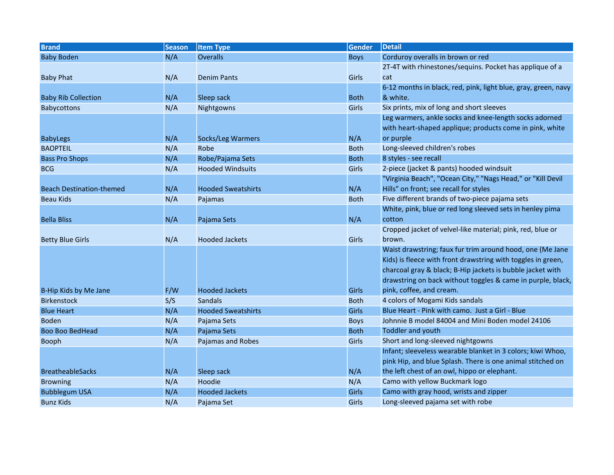| <b>Brand</b>                    | <b>Season</b> | <b>Item Type</b>          | <b>Gender</b> | <b>Detail</b>                                                  |
|---------------------------------|---------------|---------------------------|---------------|----------------------------------------------------------------|
| <b>Baby Boden</b>               | N/A           | <b>Overalls</b>           | <b>Boys</b>   | Corduroy overalls in brown or red                              |
|                                 |               |                           |               | 2T-4T with rhinestones/sequins. Pocket has applique of a       |
| <b>Baby Phat</b>                | N/A           | <b>Denim Pants</b>        | Girls         | cat                                                            |
|                                 |               |                           |               | 6-12 months in black, red, pink, light blue, gray, green, navy |
| <b>Baby Rib Collection</b>      | N/A           | Sleep sack                | <b>Both</b>   | & white.                                                       |
| Babycottons                     | N/A           | Nightgowns                | Girls         | Six prints, mix of long and short sleeves                      |
|                                 |               |                           |               | Leg warmers, ankle socks and knee-length socks adorned         |
|                                 |               |                           |               | with heart-shaped applique; products come in pink, white       |
| <b>BabyLegs</b>                 | N/A           | Socks/Leg Warmers         | N/A           | or purple                                                      |
| <b>BAOPTEIL</b>                 | N/A           | Robe                      | <b>Both</b>   | Long-sleeved children's robes                                  |
| <b>Bass Pro Shops</b>           | N/A           | Robe/Pajama Sets          | <b>Both</b>   | 8 styles - see recall                                          |
| <b>BCG</b>                      | N/A           | <b>Hooded Windsuits</b>   | Girls         | 2-piece (jacket & pants) hooded windsuit                       |
|                                 |               |                           |               | "Virginia Beach", "Ocean City," "Nags Head," or "Kill Devil    |
| <b>Beach Destination-themed</b> | N/A           | <b>Hooded Sweatshirts</b> | N/A           | Hills" on front; see recall for styles                         |
| <b>Beau Kids</b>                | N/A           | Pajamas                   | <b>Both</b>   | Five different brands of two-piece pajama sets                 |
|                                 |               |                           |               | White, pink, blue or red long sleeved sets in henley pima      |
| <b>Bella Bliss</b>              | N/A           | Pajama Sets               | N/A           | cotton                                                         |
|                                 |               |                           |               | Cropped jacket of velvel-like material; pink, red, blue or     |
| <b>Betty Blue Girls</b>         | N/A           | <b>Hooded Jackets</b>     | Girls         | brown.                                                         |
|                                 |               |                           |               | Waist drawstring; faux fur trim around hood, one (Me Jane      |
|                                 |               |                           |               | Kids) is fleece with front drawstring with toggles in green,   |
|                                 |               |                           |               | charcoal gray & black; B-Hip jackets is bubble jacket with     |
|                                 |               |                           |               | drawstring on back without toggles & came in purple, black,    |
| B-Hip Kids by Me Jane           | F/W           | <b>Hooded Jackets</b>     | Girls         | pink, coffee, and cream.                                       |
| <b>Birkenstock</b>              | S/S           | <b>Sandals</b>            | <b>Both</b>   | 4 colors of Mogami Kids sandals                                |
| <b>Blue Heart</b>               | N/A           | <b>Hooded Sweatshirts</b> | <b>Girls</b>  | Blue Heart - Pink with camo. Just a Girl - Blue                |
| <b>Boden</b>                    | N/A           | Pajama Sets               | <b>Boys</b>   | Johnnie B model 84004 and Mini Boden model 24106               |
| <b>Boo Boo BedHead</b>          | N/A           | Pajama Sets               | <b>Both</b>   | <b>Toddler and youth</b>                                       |
| Booph                           | N/A           | Pajamas and Robes         | Girls         | Short and long-sleeved nightgowns                              |
|                                 |               |                           |               | Infant; sleeveless wearable blanket in 3 colors; kiwi Whoo,    |
|                                 |               |                           |               | pink Hip, and blue Splash. There is one animal stitched on     |
| <b>BreatheableSacks</b>         | N/A           | Sleep sack                | N/A           | the left chest of an owl, hippo or elephant.                   |
| <b>Browning</b>                 | N/A           | Hoodie                    | N/A           | Camo with yellow Buckmark logo                                 |
| <b>Bubblegum USA</b>            | N/A           | <b>Hooded Jackets</b>     | Girls         | Camo with gray hood, wrists and zipper                         |
| <b>Bunz Kids</b>                | N/A           | Pajama Set                | Girls         | Long-sleeved pajama set with robe                              |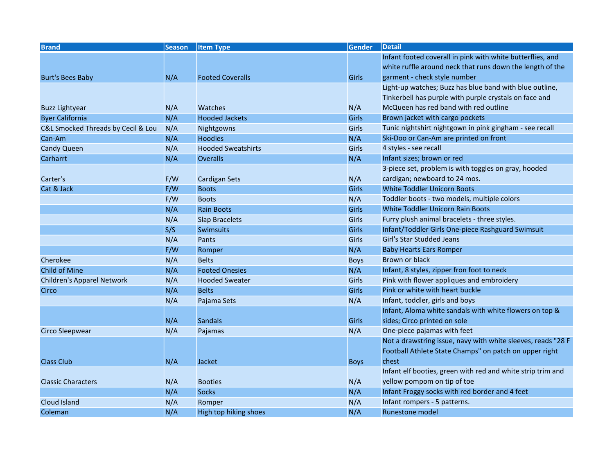| <b>Brand</b>                       | <b>Season</b> | <b>Item Type</b>          | <b>Gender</b> | <b>Detail</b>                                                |
|------------------------------------|---------------|---------------------------|---------------|--------------------------------------------------------------|
|                                    |               |                           |               | Infant footed coverall in pink with white butterflies, and   |
|                                    |               |                           |               | white ruffle around neck that runs down the length of the    |
| <b>Burt's Bees Baby</b>            | N/A           | <b>Footed Coveralls</b>   | Girls         | garment - check style number                                 |
|                                    |               |                           |               | Light-up watches; Buzz has blue band with blue outline,      |
|                                    |               |                           |               | Tinkerbell has purple with purple crystals on face and       |
| Buzz Lightyear                     | N/A           | Watches                   | N/A           | McQueen has red band with red outline                        |
| <b>Byer California</b>             | N/A           | <b>Hooded Jackets</b>     | <b>Girls</b>  | Brown jacket with cargo pockets                              |
| C&L Smocked Threads by Cecil & Lou | N/A           | Nightgowns                | Girls         | Tunic nightshirt nightgown in pink gingham - see recall      |
| Can-Am                             | N/A           | <b>Hoodies</b>            | N/A           | Ski-Doo or Can-Am are printed on front                       |
| <b>Candy Queen</b>                 | N/A           | <b>Hooded Sweatshirts</b> | Girls         | 4 styles - see recall                                        |
| Carharrt                           | N/A           | <b>Overalls</b>           | N/A           | Infant sizes; brown or red                                   |
|                                    |               |                           |               | 3-piece set, problem is with toggles on gray, hooded         |
| Carter's                           | F/W           | <b>Cardigan Sets</b>      | N/A           | cardigan; newboard to 24 mos.                                |
| Cat & Jack                         | F/W           | <b>Boots</b>              | <b>Girls</b>  | <b>White Toddler Unicorn Boots</b>                           |
|                                    | F/W           | <b>Boots</b>              | N/A           | Toddler boots - two models, multiple colors                  |
|                                    | N/A           | <b>Rain Boots</b>         | Girls         | <b>White Toddler Unicorn Rain Boots</b>                      |
|                                    | N/A           | <b>Slap Bracelets</b>     | Girls         | Furry plush animal bracelets - three styles.                 |
|                                    | S/S           | <b>Swimsuits</b>          | <b>Girls</b>  | Infant/Toddler Girls One-piece Rashguard Swimsuit            |
|                                    | N/A           | Pants                     | Girls         | Girl's Star Studded Jeans                                    |
|                                    | F/W           | Romper                    | N/A           | <b>Baby Hearts Ears Romper</b>                               |
| Cherokee                           | N/A           | <b>Belts</b>              | <b>Boys</b>   | Brown or black                                               |
| <b>Child of Mine</b>               | N/A           | <b>Footed Onesies</b>     | N/A           | Infant, 8 styles, zipper fron foot to neck                   |
| Children's Apparel Network         | N/A           | <b>Hooded Sweater</b>     | Girls         | Pink with flower appliques and embroidery                    |
| Circo                              | N/A           | <b>Belts</b>              | Girls         | Pink or white with heart buckle                              |
|                                    | N/A           | Pajama Sets               | N/A           | Infant, toddler, girls and boys                              |
|                                    |               |                           |               | Infant, Aloma white sandals with white flowers on top &      |
|                                    | N/A           | <b>Sandals</b>            | Girls         | sides; Circo printed on sole                                 |
| Circo Sleepwear                    | N/A           | Pajamas                   | N/A           | One-piece pajamas with feet                                  |
|                                    |               |                           |               | Not a drawstring issue, navy with white sleeves, reads "28 F |
|                                    |               |                           |               | Football Athlete State Champs" on patch on upper right       |
| <b>Class Club</b>                  | N/A           | Jacket                    | <b>Boys</b>   | chest                                                        |
|                                    |               |                           |               | Infant elf booties, green with red and white strip trim and  |
| <b>Classic Characters</b>          | N/A           | <b>Booties</b>            | N/A           | yellow pompom on tip of toe                                  |
|                                    | N/A           | <b>Socks</b>              | N/A           | Infant Froggy socks with red border and 4 feet               |
| Cloud Island                       | N/A           | Romper                    | N/A           | Infant rompers - 5 patterns.                                 |
| Coleman                            | N/A           | High top hiking shoes     | N/A           | Runestone model                                              |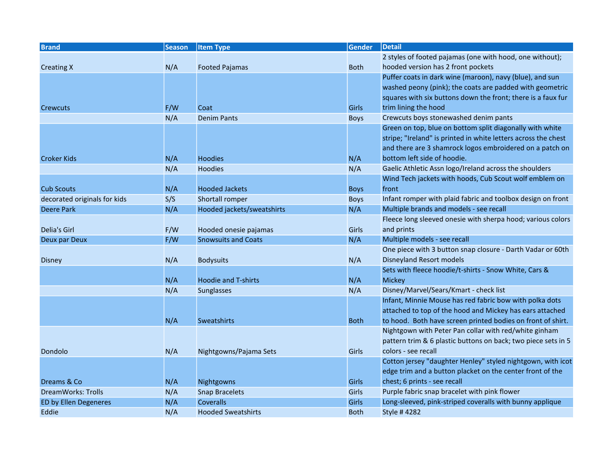| <b>Brand</b>                 | <b>Season</b> | <b>Item Type</b>           | <b>Gender</b> | <b>Detail</b>                                                  |
|------------------------------|---------------|----------------------------|---------------|----------------------------------------------------------------|
|                              |               |                            |               | 2 styles of footed pajamas (one with hood, one without);       |
| <b>Creating X</b>            | N/A           | <b>Footed Pajamas</b>      | <b>Both</b>   | hooded version has 2 front pockets                             |
|                              |               |                            |               | Puffer coats in dark wine (maroon), navy (blue), and sun       |
|                              |               |                            |               | washed peony (pink); the coats are padded with geometric       |
|                              |               |                            |               | squares with six buttons down the front; there is a faux fur   |
| Crewcuts                     | F/W           | Coat                       | Girls         | trim lining the hood                                           |
|                              | N/A           | <b>Denim Pants</b>         | <b>Boys</b>   | Crewcuts boys stonewashed denim pants                          |
|                              |               |                            |               | Green on top, blue on bottom split diagonally with white       |
|                              |               |                            |               | stripe; "Ireland" is printed in white letters across the chest |
|                              |               |                            |               | and there are 3 shamrock logos embroidered on a patch on       |
| <b>Croker Kids</b>           | N/A           | <b>Hoodies</b>             | N/A           | bottom left side of hoodie.                                    |
|                              | N/A           | <b>Hoodies</b>             | N/A           | Gaelic Athletic Assn logo/Ireland across the shoulders         |
|                              |               |                            |               | Wind Tech jackets with hoods, Cub Scout wolf emblem on         |
| <b>Cub Scouts</b>            | N/A           | <b>Hooded Jackets</b>      | <b>Boys</b>   | front                                                          |
| decorated originals for kids | S/S           | Shortall romper            | <b>Boys</b>   | Infant romper with plaid fabric and toolbox design on front    |
| Deere Park                   | N/A           | Hooded jackets/sweatshirts | N/A           | Multiple brands and models - see recall                        |
|                              |               |                            |               | Fleece long sleeved onesie with sherpa hood; various colors    |
| Delia's Girl                 | F/W           | Hooded onesie pajamas      | Girls         | and prints                                                     |
| Deux par Deux                | F/W           | <b>Snowsuits and Coats</b> | N/A           | Multiple models - see recall                                   |
|                              |               |                            |               | One piece with 3 button snap closure - Darth Vadar or 60th     |
| Disney                       | N/A           | <b>Bodysuits</b>           | N/A           | <b>Disneyland Resort models</b>                                |
|                              |               |                            |               | Sets with fleece hoodie/t-shirts - Snow White, Cars &          |
|                              | N/A           | <b>Hoodie and T-shirts</b> | N/A           | Mickey                                                         |
|                              | N/A           | Sunglasses                 | N/A           | Disney/Marvel/Sears/Kmart - check list                         |
|                              |               |                            |               | Infant, Minnie Mouse has red fabric bow with polka dots        |
|                              |               |                            |               | attached to top of the hood and Mickey has ears attached       |
|                              | N/A           | <b>Sweatshirts</b>         | <b>Both</b>   | to hood. Both have screen printed bodies on front of shirt.    |
|                              |               |                            |               | Nightgown with Peter Pan collar with red/white ginham          |
|                              |               |                            |               | pattern trim & 6 plastic buttons on back; two piece sets in 5  |
| Dondolo                      | N/A           | Nightgowns/Pajama Sets     | Girls         | colors - see recall                                            |
|                              |               |                            |               | Cotton jersey "daughter Henley" styled nightgown, with icot    |
|                              |               |                            |               | edge trim and a button placket on the center front of the      |
| Dreams & Co                  | N/A           | Nightgowns                 | Girls         | chest; 6 prints - see recall                                   |
| DreamWorks: Trolls           | N/A           | <b>Snap Bracelets</b>      | Girls         | Purple fabric snap bracelet with pink flower                   |
| ED by Ellen Degeneres        | N/A           | <b>Coveralls</b>           | Girls         | Long-sleeved, pink-striped coveralls with bunny applique       |
| Eddie                        | N/A           | <b>Hooded Sweatshirts</b>  | <b>Both</b>   | Style # 4282                                                   |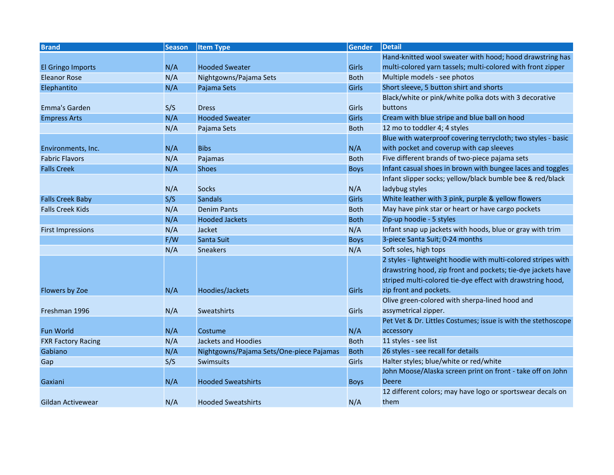| <b>Brand</b>              | <b>Season</b> | <b>Item Type</b>                         | <b>Gender</b> | <b>Detail</b>                                                 |
|---------------------------|---------------|------------------------------------------|---------------|---------------------------------------------------------------|
|                           |               |                                          |               | Hand-knitted wool sweater with hood; hood drawstring has      |
| El Gringo Imports         | N/A           | <b>Hooded Sweater</b>                    | <b>Girls</b>  | multi-colored yarn tassels; multi-colored with front zipper   |
| <b>Eleanor Rose</b>       | N/A           | Nightgowns/Pajama Sets                   | <b>Both</b>   | Multiple models - see photos                                  |
| Elephantito               | N/A           | Pajama Sets                              | <b>Girls</b>  | Short sleeve, 5 button shirt and shorts                       |
|                           |               |                                          |               | Black/white or pink/white polka dots with 3 decorative        |
| Emma's Garden             | S/S           | <b>Dress</b>                             | Girls         | buttons                                                       |
| <b>Empress Arts</b>       | N/A           | <b>Hooded Sweater</b>                    | <b>Girls</b>  | Cream with blue stripe and blue ball on hood                  |
|                           | N/A           | Pajama Sets                              | <b>Both</b>   | 12 mo to toddler 4; 4 styles                                  |
|                           |               |                                          |               | Blue with waterproof covering terrycloth; two styles - basic  |
| Environments, Inc.        | N/A           | <b>Bibs</b>                              | N/A           | with pocket and coverup with cap sleeves                      |
| <b>Fabric Flavors</b>     | N/A           | Pajamas                                  | <b>Both</b>   | Five different brands of two-piece pajama sets                |
| <b>Falls Creek</b>        | N/A           | <b>Shoes</b>                             | <b>Boys</b>   | Infant casual shoes in brown with bungee laces and toggles    |
|                           |               |                                          |               | Infant slipper socks; yellow/black bumble bee & red/black     |
|                           | N/A           | <b>Socks</b>                             | N/A           | ladybug styles                                                |
| <b>Falls Creek Baby</b>   | S/S           | <b>Sandals</b>                           | Girls         | White leather with 3 pink, purple & yellow flowers            |
| <b>Falls Creek Kids</b>   | N/A           | <b>Denim Pants</b>                       | <b>Both</b>   | May have pink star or heart or have cargo pockets             |
|                           | N/A           | <b>Hooded Jackets</b>                    | <b>Both</b>   | Zip-up hoodie - 5 styles                                      |
| <b>First Impressions</b>  | N/A           | Jacket                                   | N/A           | Infant snap up jackets with hoods, blue or gray with trim     |
|                           | F/W           | Santa Suit                               | <b>Boys</b>   | 3-piece Santa Suit; 0-24 months                               |
|                           | N/A           | <b>Sneakers</b>                          | N/A           | Soft soles, high tops                                         |
|                           |               |                                          |               | 2 styles - lightweight hoodie with multi-colored stripes with |
|                           |               |                                          |               | drawstring hood, zip front and pockets; tie-dye jackets have  |
|                           |               |                                          |               | striped multi-colored tie-dye effect with drawstring hood,    |
| Flowers by Zoe            | N/A           | Hoodies/Jackets                          | Girls         | zip front and pockets.                                        |
|                           |               |                                          |               | Olive green-colored with sherpa-lined hood and                |
| Freshman 1996             | N/A           | Sweatshirts                              | Girls         | assymetrical zipper.                                          |
|                           |               |                                          |               | Pet Vet & Dr. Littles Costumes; issue is with the stethoscope |
| <b>Fun World</b>          | N/A           | Costume                                  | N/A           | accessory                                                     |
| <b>FXR Factory Racing</b> | N/A           | Jackets and Hoodies                      | <b>Both</b>   | 11 styles - see list                                          |
| Gabiano                   | N/A           | Nightgowns/Pajama Sets/One-piece Pajamas | <b>Both</b>   | 26 styles - see recall for details                            |
| Gap                       | S/S           | <b>Swimsuits</b>                         | Girls         | Halter styles; blue/white or red/white                        |
|                           |               |                                          |               | John Moose/Alaska screen print on front - take off on John    |
| Gaxiani                   | N/A           | <b>Hooded Sweatshirts</b>                | <b>Boys</b>   | <b>Deere</b>                                                  |
|                           |               |                                          |               | 12 different colors; may have logo or sportswear decals on    |
| Gildan Activewear         | N/A           | <b>Hooded Sweatshirts</b>                | N/A           | them                                                          |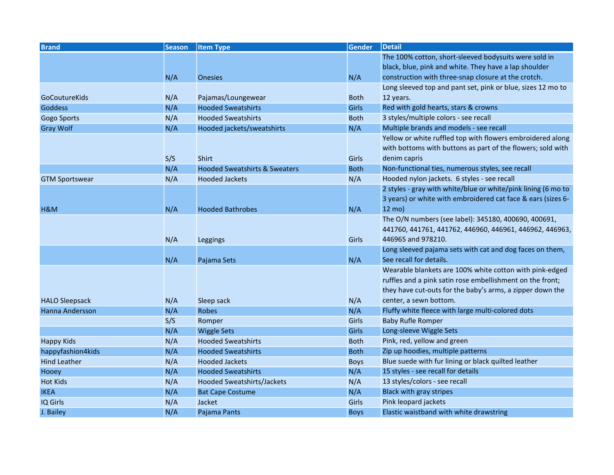| <b>Brand</b>          | <b>Season</b> | <b>Item Type</b>                         | <b>Gender</b> | <b>Detail</b>                                                 |
|-----------------------|---------------|------------------------------------------|---------------|---------------------------------------------------------------|
|                       |               |                                          |               | The 100% cotton, short-sleeved bodysuits were sold in         |
|                       |               |                                          |               | black, blue, pink and white. They have a lap shoulder         |
|                       | N/A           | <b>Onesies</b>                           | N/A           | construction with three-snap closure at the crotch.           |
|                       |               |                                          |               | Long sleeved top and pant set, pink or blue, sizes 12 mo to   |
| GoCoutureKids         | N/A           | Pajamas/Loungewear                       | <b>Both</b>   | 12 years.                                                     |
| <b>Goddess</b>        | N/A           | <b>Hooded Sweatshirts</b>                | <b>Girls</b>  | Red with gold hearts, stars & crowns                          |
| Gogo Sports           | N/A           | <b>Hooded Sweatshirts</b>                | <b>Both</b>   | 3 styles/multiple colors - see recall                         |
| <b>Gray Wolf</b>      | N/A           | Hooded jackets/sweatshirts               | N/A           | Multiple brands and models - see recall                       |
|                       |               |                                          |               | Yellow or white ruffled top with flowers embroidered along    |
|                       |               |                                          |               | with bottoms with buttons as part of the flowers; sold with   |
|                       | S/S           | <b>Shirt</b>                             | Girls         | denim capris                                                  |
|                       | N/A           | <b>Hooded Sweatshirts &amp; Sweaters</b> | <b>Both</b>   | Non-functional ties, numerous styles, see recall              |
| <b>GTM Sportswear</b> | N/A           | <b>Hooded Jackets</b>                    | N/A           | Hooded nylon jackets. 6 styles - see recall                   |
|                       |               |                                          |               | 2 styles - gray with white/blue or white/pink lining (6 mo to |
|                       |               |                                          |               | 3 years) or white with embroidered cat face & ears (sizes 6-  |
| H&M                   | N/A           | <b>Hooded Bathrobes</b>                  | N/A           | 12 mo)                                                        |
|                       |               |                                          |               | The O/N numbers (see label): 345180, 400690, 400691,          |
|                       |               |                                          |               | 441760, 441761, 441762, 446960, 446961, 446962, 446963,       |
|                       | N/A           | Leggings                                 | Girls         | 446965 and 978210.                                            |
|                       |               |                                          |               | Long sleeved pajama sets with cat and dog faces on them,      |
|                       | N/A           | Pajama Sets                              | N/A           | See recall for details.                                       |
|                       |               |                                          |               | Wearable blankets are 100% white cotton with pink-edged       |
|                       |               |                                          |               | ruffles and a pink satin rose embellishment on the front;     |
|                       |               |                                          |               | they have cut-outs for the baby's arms, a zipper down the     |
| <b>HALO Sleepsack</b> | N/A           | Sleep sack                               | N/A           | center, a sewn bottom.                                        |
| Hanna Andersson       | N/A           | <b>Robes</b>                             | N/A           | Fluffy white fleece with large multi-colored dots             |
|                       | S/S           | Romper                                   | Girls         | <b>Baby Rufle Romper</b>                                      |
|                       | N/A           | <b>Wiggle Sets</b>                       | <b>Girls</b>  | Long-sleeve Wiggle Sets                                       |
| <b>Happy Kids</b>     | N/A           | <b>Hooded Sweatshirts</b>                | <b>Both</b>   | Pink, red, yellow and green                                   |
| happyfashion4kids     | N/A           | <b>Hooded Sweatshirts</b>                | <b>Both</b>   | Zip up hoodies, multiple patterns                             |
| <b>Hind Leather</b>   | N/A           | <b>Hooded Jackets</b>                    | <b>Boys</b>   | Blue suede with fur lining or black quilted leather           |
| Hooey                 | N/A           | <b>Hooded Sweatshirts</b>                | N/A           | 15 styles - see recall for details                            |
| <b>Hot Kids</b>       | N/A           | Hooded Sweatshirts/Jackets               | N/A           | 13 styles/colors - see recall                                 |
| <b>IKEA</b>           | N/A           | <b>Bat Cape Costume</b>                  | N/A           | <b>Black with gray stripes</b>                                |
| IQ Girls              | N/A           | Jacket                                   | Girls         | Pink leopard jackets                                          |
| J. Bailey             | N/A           | Pajama Pants                             | <b>Boys</b>   | Elastic waistband with white drawstring                       |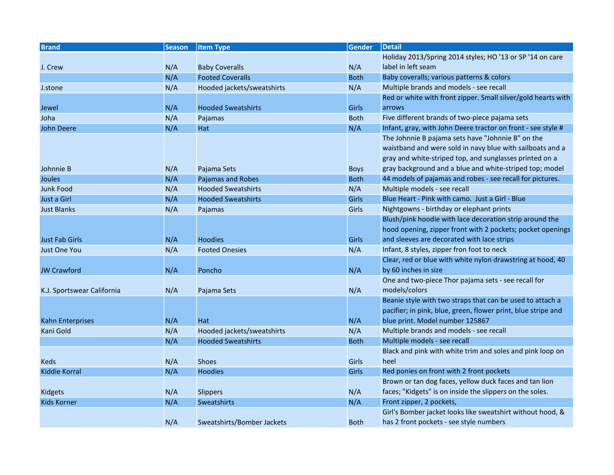| <b>Brand</b>               | <b>Season</b> | <b>Item Type</b>           | <b>Gender</b> | <b>Detail</b>                                                 |
|----------------------------|---------------|----------------------------|---------------|---------------------------------------------------------------|
|                            |               |                            |               | Holiday 2013/Spring 2014 styles; HO '13 or SP '14 on care     |
| J. Crew                    | N/A           | <b>Baby Coveralls</b>      | N/A           | label in left seam                                            |
|                            | N/A           | <b>Footed Coveralls</b>    | <b>Both</b>   | Baby coveralls; various patterns & colors                     |
| J.stone                    | N/A           | Hooded jackets/sweatshirts | N/A           | Multiple brands and models - see recall                       |
|                            |               |                            |               | Red or white with front zipper. Small silver/gold hearts with |
| Jewel                      | N/A           | <b>Hooded Sweatshirts</b>  | <b>Girls</b>  | arrows                                                        |
| Joha                       | N/A           | Pajamas                    | <b>Both</b>   | Five different brands of two-piece pajama sets                |
| <b>John Deere</b>          | N/A           | Hat                        | N/A           | Infant, gray, with John Deere tractor on front - see style #  |
|                            |               |                            |               | The Johnnie B pajama sets have "Johnnie B" on the             |
|                            |               |                            |               | waistband and were sold in navy blue with sailboats and a     |
|                            |               |                            |               | gray and white-striped top, and sunglasses printed on a       |
| Johnnie B                  | N/A           | Pajama Sets                | <b>Boys</b>   | gray background and a blue and white-striped top; model       |
| Joules                     | N/A           | Pajamas and Robes          | <b>Both</b>   | 44 models of pajamas and robes - see recall for pictures.     |
| <b>Junk Food</b>           | N/A           | <b>Hooded Sweatshirts</b>  | N/A           | Multiple models - see recall                                  |
| Just a Girl                | N/A           | <b>Hooded Sweatshirts</b>  | <b>Girls</b>  | Blue Heart - Pink with camo. Just a Girl - Blue               |
| <b>Just Blanks</b>         | N/A           | Pajamas                    | Girls         | Nightgowns - birthday or elephant prints                      |
|                            |               |                            |               | Blush/pink hoodie with lace decoration strip around the       |
|                            |               |                            |               | hood opening, zipper front with 2 pockets; pocket openings    |
| <b>Just Fab Girls</b>      | N/A           | <b>Hoodies</b>             | <b>Girls</b>  | and sleeves are decorated with lace strips                    |
| <b>Just One You</b>        | N/A           | <b>Footed Onesies</b>      | N/A           | Infant, 8 styles, zipper fron foot to neck                    |
|                            |               |                            |               | Clear, red or blue with white nylon drawstring at hood, 40    |
| <b>JW Crawford</b>         | N/A           | Poncho                     | N/A           | by 60 inches in size                                          |
|                            |               |                            |               | One and two-piece Thor pajama sets - see recall for           |
| K.J. Sportswear California | N/A           | Pajama Sets                | N/A           | models/colors                                                 |
|                            |               |                            |               | Beanie style with two straps that can be used to attach a     |
|                            |               |                            |               | pacifier; in pink, blue, green, flower print, blue stripe and |
| Kahn Enterprises           | N/A           | Hat                        | N/A           | blue print. Model number 125867                               |
| Kani Gold                  | N/A           | Hooded jackets/sweatshirts | N/A           | Multiple brands and models - see recall                       |
|                            | N/A           | <b>Hooded Sweatshirts</b>  | <b>Both</b>   | Multiple models - see recall                                  |
|                            |               |                            |               | Black and pink with white trim and soles and pink loop on     |
| <b>Keds</b>                | N/A           | <b>Shoes</b>               | Girls         | heel                                                          |
| Kiddie Korral              | N/A           | <b>Hoodies</b>             | Girls         | Red ponies on front with 2 front pockets                      |
|                            |               |                            |               | Brown or tan dog faces, yellow duck faces and tan lion        |
| Kidgets                    | N/A           | Slippers                   | N/A           | faces; "Kidgets" is on inside the slippers on the soles.      |
| <b>Kids Korner</b>         | N/A           | Sweatshirts                | N/A           | Front zipper, 2 pockets,                                      |
|                            |               |                            |               | Girl's Bomber jacket looks like sweatshirt without hood, &    |
|                            | N/A           | Sweatshirts/Bomber Jackets | <b>Both</b>   | has 2 front pockets - see style numbers                       |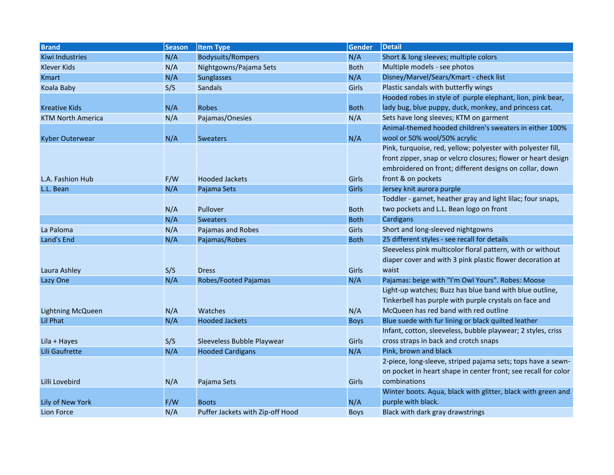| <b>Brand</b>             | <b>Season</b> | <b>Item Type</b>                 | <b>Gender</b> | Detail                                                         |
|--------------------------|---------------|----------------------------------|---------------|----------------------------------------------------------------|
| <b>Kiwi Industries</b>   | N/A           | <b>Bodysuits/Rompers</b>         | N/A           | Short & long sleeves; multiple colors                          |
| Klever Kids              | N/A           | Nightgowns/Pajama Sets           | <b>Both</b>   | Multiple models - see photos                                   |
| Kmart                    | N/A           | <b>Sunglasses</b>                | N/A           | Disney/Marvel/Sears/Kmart - check list                         |
| Koala Baby               | S/S           | <b>Sandals</b>                   | Girls         | Plastic sandals with butterfly wings                           |
|                          |               |                                  |               | Hooded robes in style of purple elephant, lion, pink bear,     |
| <b>Kreative Kids</b>     | N/A           | <b>Robes</b>                     | <b>Both</b>   | lady bug, blue puppy, duck, monkey, and princess cat.          |
| <b>KTM North America</b> | N/A           | Pajamas/Onesies                  | N/A           | Sets have long sleeves; KTM on garment                         |
|                          |               |                                  |               | Animal-themed hooded children's sweaters in either 100%        |
| Kyber Outerwear          | N/A           | <b>Sweaters</b>                  | N/A           | wool or 50% wool/50% acrylic                                   |
|                          |               |                                  |               | Pink, turquoise, red, yellow; polyester with polyester fill,   |
|                          |               |                                  |               | front zipper, snap or velcro closures; flower or heart design  |
|                          |               |                                  |               | embroidered on front; different designs on collar, down        |
| L.A. Fashion Hub         | F/W           | <b>Hooded Jackets</b>            | Girls         | front & on pockets                                             |
| L.L. Bean                | N/A           | Pajama Sets                      | <b>Girls</b>  | Jersey knit aurora purple                                      |
|                          |               |                                  |               | Toddler - garnet, heather gray and light lilac; four snaps,    |
|                          | N/A           | Pullover                         | <b>Both</b>   | two pockets and L.L. Bean logo on front                        |
|                          | N/A           | <b>Sweaters</b>                  | <b>Both</b>   | Cardigans                                                      |
| La Paloma                | N/A           | Pajamas and Robes                | Girls         | Short and long-sleeved nightgowns                              |
| Land's End               | N/A           | Pajamas/Robes                    | <b>Both</b>   | 25 different styles - see recall for details                   |
|                          |               |                                  |               | Sleeveless pink multicolor floral pattern, with or without     |
|                          |               |                                  |               | diaper cover and with 3 pink plastic flower decoration at      |
| Laura Ashley             | S/S           | <b>Dress</b>                     | Girls         | waist                                                          |
| Lazy One                 | N/A           | Robes/Footed Pajamas             | N/A           | Pajamas: beige with "I'm Owl Yours". Robes: Moose              |
|                          |               |                                  |               | Light-up watches; Buzz has blue band with blue outline,        |
|                          |               |                                  |               | Tinkerbell has purple with purple crystals on face and         |
| <b>Lightning McQueen</b> | N/A           | Watches                          | N/A           | McQueen has red band with red outline                          |
| Lil Phat                 | N/A           | <b>Hooded Jackets</b>            | <b>Boys</b>   | Blue suede with fur lining or black quilted leather            |
|                          |               |                                  |               | Infant, cotton, sleeveless, bubble playwear; 2 styles, criss   |
| Lila + Hayes             | S/S           | Sleeveless Bubble Playwear       | Girls         | cross straps in back and crotch snaps                          |
| Lili Gaufrette           | N/A           | <b>Hooded Cardigans</b>          | N/A           | Pink, brown and black                                          |
|                          |               |                                  |               | 2-piece, long-sleeve, striped pajama sets; tops have a sewn-   |
|                          |               |                                  |               | on pocket in heart shape in center front; see recall for color |
| Lilli Lovebird           | N/A           | Pajama Sets                      | Girls         | combinations                                                   |
|                          |               |                                  |               | Winter boots. Aqua, black with glitter, black with green and   |
| Lily of New York         | F/W           | <b>Boots</b>                     | N/A           | purple with black.                                             |
| Lion Force               | N/A           | Puffer Jackets with Zip-off Hood | <b>Boys</b>   | Black with dark gray drawstrings                               |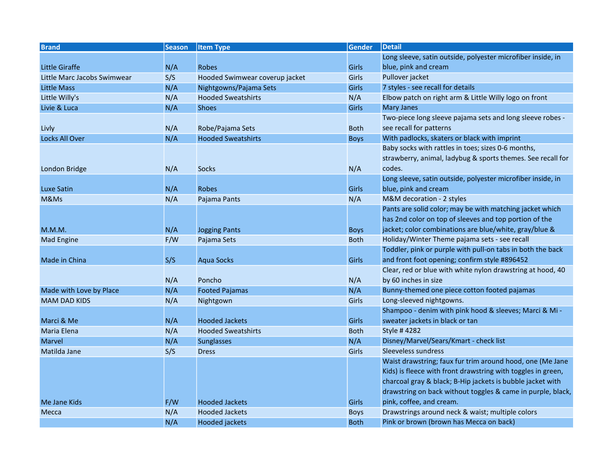| <b>Brand</b>                | <b>Season</b> | <b>Item Type</b>               | Gender      | Detail                                                       |
|-----------------------------|---------------|--------------------------------|-------------|--------------------------------------------------------------|
|                             |               |                                |             | Long sleeve, satin outside, polyester microfiber inside, in  |
| <b>Little Giraffe</b>       | N/A           | <b>Robes</b>                   | Girls       | blue, pink and cream                                         |
| Little Marc Jacobs Swimwear | S/S           | Hooded Swimwear coverup jacket | Girls       | Pullover jacket                                              |
| <b>Little Mass</b>          | N/A           | Nightgowns/Pajama Sets         | Girls       | 7 styles - see recall for details                            |
| Little Willy's              | N/A           | <b>Hooded Sweatshirts</b>      | N/A         | Elbow patch on right arm & Little Willy logo on front        |
| Livie & Luca                | N/A           | <b>Shoes</b>                   | Girls       | <b>Mary Janes</b>                                            |
|                             |               |                                |             | Two-piece long sleeve pajama sets and long sleeve robes -    |
| Livly                       | N/A           | Robe/Pajama Sets               | <b>Both</b> | see recall for patterns                                      |
| Locks All Over              | N/A           | <b>Hooded Sweatshirts</b>      | <b>Boys</b> | With padlocks, skaters or black with imprint                 |
|                             |               |                                |             | Baby socks with rattles in toes; sizes 0-6 months,           |
|                             |               |                                |             | strawberry, animal, ladybug & sports themes. See recall for  |
| London Bridge               | N/A           | <b>Socks</b>                   | N/A         | codes.                                                       |
|                             |               |                                |             | Long sleeve, satin outside, polyester microfiber inside, in  |
| <b>Luxe Satin</b>           | N/A           | <b>Robes</b>                   | Girls       | blue, pink and cream                                         |
| M&Ms                        | N/A           | Pajama Pants                   | N/A         | M&M decoration - 2 styles                                    |
|                             |               |                                |             | Pants are solid color; may be with matching jacket which     |
|                             |               |                                |             | has 2nd color on top of sleeves and top portion of the       |
| M.M.M.                      | N/A           | <b>Jogging Pants</b>           | <b>Boys</b> | jacket; color combinations are blue/white, gray/blue &       |
| <b>Mad Engine</b>           | F/W           | Pajama Sets                    | <b>Both</b> | Holiday/Winter Theme pajama sets - see recall                |
|                             |               |                                |             | Toddler, pink or purple with pull-on tabs in both the back   |
| Made in China               | S/S           | <b>Aqua Socks</b>              | Girls       | and front foot opening; confirm style #896452                |
|                             |               |                                |             | Clear, red or blue with white nylon drawstring at hood, 40   |
|                             | N/A           | Poncho                         | N/A         | by 60 inches in size                                         |
| Made with Love by Place     | N/A           | <b>Footed Pajamas</b>          | N/A         | Bunny-themed one piece cotton footed pajamas                 |
| <b>MAM DAD KIDS</b>         | N/A           | Nightgown                      | Girls       | Long-sleeved nightgowns.                                     |
|                             |               |                                |             | Shampoo - denim with pink hood & sleeves; Marci & Mi -       |
| Marci & Me                  | N/A           | <b>Hooded Jackets</b>          | Girls       | sweater jackets in black or tan                              |
| Maria Elena                 | N/A           | <b>Hooded Sweatshirts</b>      | <b>Both</b> | Style # 4282                                                 |
| <b>Marvel</b>               | N/A           | <b>Sunglasses</b>              | N/A         | Disney/Marvel/Sears/Kmart - check list                       |
| Matilda Jane                | S/S           | <b>Dress</b>                   | Girls       | Sleeveless sundress                                          |
|                             |               |                                |             | Waist drawstring; faux fur trim around hood, one (Me Jane    |
|                             |               |                                |             | Kids) is fleece with front drawstring with toggles in green, |
|                             |               |                                |             | charcoal gray & black; B-Hip jackets is bubble jacket with   |
|                             |               |                                |             | drawstring on back without toggles & came in purple, black,  |
| Me Jane Kids                | F/W           | <b>Hooded Jackets</b>          | Girls       | pink, coffee, and cream.                                     |
| Mecca                       | N/A           | <b>Hooded Jackets</b>          | <b>Boys</b> | Drawstrings around neck & waist; multiple colors             |
|                             | N/A           | <b>Hooded jackets</b>          | <b>Both</b> | Pink or brown (brown has Mecca on back)                      |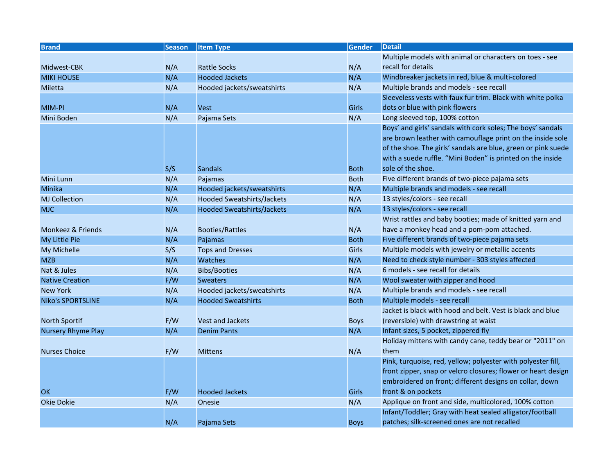| <b>Brand</b>              | <b>Season</b> | <b>Item Type</b>                  | <b>Gender</b> | <b>Detail</b>                                                 |
|---------------------------|---------------|-----------------------------------|---------------|---------------------------------------------------------------|
|                           |               |                                   |               | Multiple models with animal or characters on toes - see       |
| Midwest-CBK               | N/A           | <b>Rattle Socks</b>               | N/A           | recall for details                                            |
| <b>MIKI HOUSE</b>         | N/A           | <b>Hooded Jackets</b>             | N/A           | Windbreaker jackets in red, blue & multi-colored              |
| Miletta                   | N/A           | Hooded jackets/sweatshirts        | N/A           | Multiple brands and models - see recall                       |
|                           |               |                                   |               | Sleeveless vests with faux fur trim. Black with white polka   |
| MIM-PI                    | N/A           | <b>Vest</b>                       | Girls         | dots or blue with pink flowers                                |
| Mini Boden                | N/A           | Pajama Sets                       | N/A           | Long sleeved top, 100% cotton                                 |
|                           |               |                                   |               | Boys' and girls' sandals with cork soles; The boys' sandals   |
|                           |               |                                   |               | are brown leather with camouflage print on the inside sole    |
|                           |               |                                   |               | of the shoe. The girls' sandals are blue, green or pink suede |
|                           |               |                                   |               | with a suede ruffle. "Mini Boden" is printed on the inside    |
|                           | S/S           | <b>Sandals</b>                    | <b>Both</b>   | sole of the shoe.                                             |
| Mini Lunn                 | N/A           | Pajamas                           | <b>Both</b>   | Five different brands of two-piece pajama sets                |
| Minika                    | N/A           | Hooded jackets/sweatshirts        | N/A           | Multiple brands and models - see recall                       |
| <b>MJ Collection</b>      | N/A           | Hooded Sweatshirts/Jackets        | N/A           | 13 styles/colors - see recall                                 |
| <b>MJC</b>                | N/A           | <b>Hooded Sweatshirts/Jackets</b> | N/A           | 13 styles/colors - see recall                                 |
|                           |               |                                   |               | Wrist rattles and baby booties; made of knitted yarn and      |
| Monkeez & Friends         | N/A           | <b>Booties/Rattles</b>            | N/A           | have a monkey head and a pom-pom attached.                    |
| My Little Pie             | N/A           | Pajamas                           | <b>Both</b>   | Five different brands of two-piece pajama sets                |
| My Michelle               | S/S           | <b>Tops and Dresses</b>           | Girls         | Multiple models with jewelry or metallic accents              |
| <b>MZB</b>                | N/A           | Watches                           | N/A           | Need to check style number - 303 styles affected              |
| Nat & Jules               | N/A           | <b>Bibs/Booties</b>               | N/A           | 6 models - see recall for details                             |
| <b>Native Creation</b>    | F/W           | <b>Sweaters</b>                   | N/A           | Wool sweater with zipper and hood                             |
| <b>New York</b>           | N/A           | Hooded jackets/sweatshirts        | N/A           | Multiple brands and models - see recall                       |
| <b>Niko's SPORTSLINE</b>  | N/A           | <b>Hooded Sweatshirts</b>         | <b>Both</b>   | Multiple models - see recall                                  |
|                           |               |                                   |               | Jacket is black with hood and belt. Vest is black and blue    |
| North Sportif             | F/W           | <b>Vest and Jackets</b>           | <b>Boys</b>   | (reversible) with drawstring at waist                         |
| <b>Nursery Rhyme Play</b> | N/A           | <b>Denim Pants</b>                | N/A           | Infant sizes, 5 pocket, zippered fly                          |
|                           |               |                                   |               | Holiday mittens with candy cane, teddy bear or "2011" on      |
| <b>Nurses Choice</b>      | F/W           | <b>Mittens</b>                    | N/A           | them                                                          |
|                           |               |                                   |               | Pink, turquoise, red, yellow; polyester with polyester fill,  |
|                           |               |                                   |               | front zipper, snap or velcro closures; flower or heart design |
|                           |               |                                   |               | embroidered on front; different designs on collar, down       |
| OK                        | F/W           | <b>Hooded Jackets</b>             | Girls         | front & on pockets                                            |
| <b>Okie Dokie</b>         | N/A           | Onesie                            | N/A           | Applique on front and side, multicolored, 100% cotton         |
|                           |               |                                   |               | Infant/Toddler; Gray with heat sealed alligator/football      |
|                           | N/A           | Pajama Sets                       | <b>Boys</b>   | patches; silk-screened ones are not recalled                  |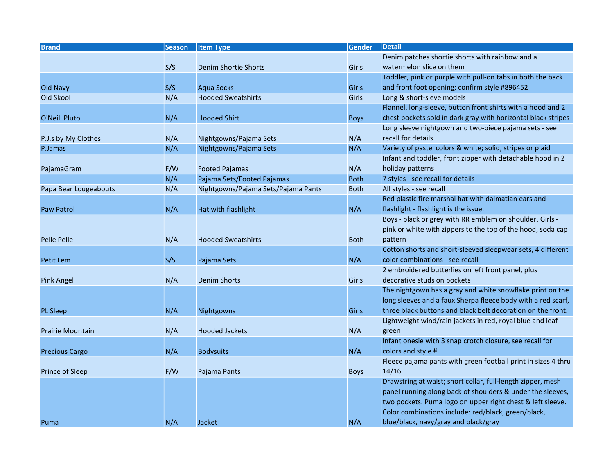| <b>Brand</b>            | <b>Season</b> | <b>Item Type</b>                    | <b>Gender</b> | Detail                                                                |
|-------------------------|---------------|-------------------------------------|---------------|-----------------------------------------------------------------------|
|                         |               |                                     |               | Denim patches shortie shorts with rainbow and a                       |
|                         | S/S           | Denim Shortie Shorts                | Girls         | watermelon slice on them                                              |
|                         |               |                                     |               | Toddler, pink or purple with pull-on tabs in both the back            |
| Old Navy                | S/S           | <b>Aqua Socks</b>                   | Girls         | and front foot opening; confirm style #896452                         |
| Old Skool               | N/A           | <b>Hooded Sweatshirts</b>           | Girls         | Long & short-sleve models                                             |
|                         |               |                                     |               | Flannel, long-sleeve, button front shirts with a hood and 2           |
| O'Neill Pluto           | N/A           | <b>Hooded Shirt</b>                 | <b>Boys</b>   | chest pockets sold in dark gray with horizontal black stripes         |
|                         |               |                                     |               | Long sleeve nightgown and two-piece pajama sets - see                 |
| P.J.s by My Clothes     | N/A           | Nightgowns/Pajama Sets              | N/A           | recall for details                                                    |
| P.Jamas                 | N/A           | Nightgowns/Pajama Sets              | N/A           | Variety of pastel colors & white; solid, stripes or plaid             |
|                         |               |                                     |               | Infant and toddler, front zipper with detachable hood in 2            |
| PajamaGram              | F/W           | <b>Footed Pajamas</b>               | N/A           | holiday patterns                                                      |
|                         | N/A           | Pajama Sets/Footed Pajamas          | <b>Both</b>   | 7 styles - see recall for details                                     |
| Papa Bear Lougeabouts   | N/A           | Nightgowns/Pajama Sets/Pajama Pants | <b>Both</b>   | All styles - see recall                                               |
|                         |               |                                     |               | Red plastic fire marshal hat with dalmatian ears and                  |
| <b>Paw Patrol</b>       | N/A           | Hat with flashlight                 | N/A           | flashlight - flashlight is the issue.                                 |
|                         |               |                                     |               | Boys - black or grey with RR emblem on shoulder. Girls -              |
|                         |               |                                     |               | pink or white with zippers to the top of the hood, soda cap           |
| <b>Pelle Pelle</b>      | N/A           | <b>Hooded Sweatshirts</b>           | <b>Both</b>   | pattern                                                               |
|                         |               |                                     |               | Cotton shorts and short-sleeved sleepwear sets, 4 different           |
| Petit Lem               | S/S           | Pajama Sets                         | N/A           | color combinations - see recall                                       |
|                         |               |                                     |               | 2 embroidered butterlies on left front panel, plus                    |
| <b>Pink Angel</b>       | N/A           | <b>Denim Shorts</b>                 | Girls         | decorative studs on pockets                                           |
|                         |               |                                     |               | The nightgown has a gray and white snowflake print on the             |
|                         |               |                                     |               | long sleeves and a faux Sherpa fleece body with a red scarf,          |
| <b>PL Sleep</b>         | N/A           | Nightgowns                          | Girls         | three black buttons and black belt decoration on the front.           |
|                         |               |                                     |               | Lightweight wind/rain jackets in red, royal blue and leaf             |
| <b>Prairie Mountain</b> | N/A           | <b>Hooded Jackets</b>               | N/A           | green                                                                 |
|                         |               |                                     |               | Infant onesie with 3 snap crotch closure, see recall for              |
| <b>Precious Cargo</b>   | N/A           | <b>Bodysuits</b>                    | N/A           | colors and style #                                                    |
|                         |               |                                     |               | Fleece pajama pants with green football print in sizes 4 thru         |
| Prince of Sleep         | F/W           | Pajama Pants                        | <b>Boys</b>   | 14/16.<br>Drawstring at waist; short collar, full-length zipper, mesh |
|                         |               |                                     |               | panel running along back of shoulders & under the sleeves,            |
|                         |               |                                     |               | two pockets. Puma logo on upper right chest & left sleeve.            |
|                         |               |                                     |               | Color combinations include: red/black, green/black,                   |
|                         |               |                                     | N/A           |                                                                       |
| Puma                    | N/A           | <b>Jacket</b>                       |               | blue/black, navy/gray and black/gray                                  |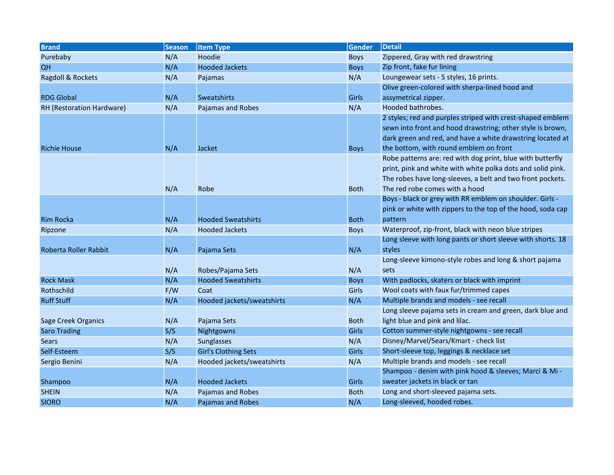| <b>Brand</b>              | <b>Season</b> | <b>Item Type</b>           | <b>Gender</b> | <b>Detail</b>                                                                                                                                                                                                             |
|---------------------------|---------------|----------------------------|---------------|---------------------------------------------------------------------------------------------------------------------------------------------------------------------------------------------------------------------------|
| Purebaby                  | N/A           | Hoodie                     | <b>Boys</b>   | Zippered, Gray with red drawstring                                                                                                                                                                                        |
| QH                        | N/A           | <b>Hooded Jackets</b>      | <b>Boys</b>   | Zip front, fake fur lining                                                                                                                                                                                                |
| Ragdoll & Rockets         | N/A           | Pajamas                    | N/A           | Loungewear sets - 5 styles, 16 prints.                                                                                                                                                                                    |
|                           |               |                            |               | Olive green-colored with sherpa-lined hood and                                                                                                                                                                            |
| <b>RDG Global</b>         | N/A           | <b>Sweatshirts</b>         | Girls         | assymetrical zipper.                                                                                                                                                                                                      |
| RH (Restoration Hardware) | N/A           | Pajamas and Robes          | N/A           | Hooded bathrobes.                                                                                                                                                                                                         |
|                           |               |                            |               | 2 styles; red and purples striped with crest-shaped emblem<br>sewn into front and hood drawstring; other style is brown,<br>dark green and red, and have a white drawstring located at                                    |
| <b>Richie House</b>       | N/A           | Jacket                     | <b>Boys</b>   | the bottom, with round emblem on front                                                                                                                                                                                    |
|                           | N/A           | Robe                       | <b>Both</b>   | Robe patterns are: red with dog print, blue with butterfly<br>print, pink and white with white polka dots and solid pink.<br>The robes have long-sleeves, a belt and two front pockets.<br>The red robe comes with a hood |
|                           |               |                            |               | Boys - black or grey with RR emblem on shoulder. Girls -<br>pink or white with zippers to the top of the hood, soda cap<br>pattern                                                                                        |
| <b>Rim Rocka</b>          | N/A           | <b>Hooded Sweatshirts</b>  | <b>Both</b>   | Waterproof, zip-front, black with neon blue stripes                                                                                                                                                                       |
| Ripzone                   | N/A           | <b>Hooded Jackets</b>      | <b>Boys</b>   | Long sleeve with long pants or short sleeve with shorts. 18                                                                                                                                                               |
| Roberta Roller Rabbit     | N/A           | Pajama Sets                | N/A           | styles                                                                                                                                                                                                                    |
|                           | N/A           | Robes/Pajama Sets          | N/A           | Long-sleeve kimono-style robes and long & short pajama<br>sets                                                                                                                                                            |
| <b>Rock Mask</b>          | N/A           | <b>Hooded Sweatshirts</b>  | <b>Boys</b>   | With padlocks, skaters or black with imprint                                                                                                                                                                              |
| Rothschild                | F/W           | Coat                       | Girls         | Wool coats with faux fur/trimmed capes                                                                                                                                                                                    |
| <b>Ruff Stuff</b>         | N/A           | Hooded jackets/sweatshirts | N/A           | Multiple brands and models - see recall                                                                                                                                                                                   |
|                           |               |                            |               | Long sleeve pajama sets in cream and green, dark blue and                                                                                                                                                                 |
| Sage Creek Organics       | N/A           | Pajama Sets                | <b>Both</b>   | light blue and pink and lilac.                                                                                                                                                                                            |
| <b>Saro Trading</b>       | S/S           | Nightgowns                 | Girls         | Cotton summer-style nightgowns - see recall                                                                                                                                                                               |
| <b>Sears</b>              | N/A           | Sunglasses                 | N/A           | Disney/Marvel/Sears/Kmart - check list                                                                                                                                                                                    |
| Self-Esteem               | S/S           | Girl's Clothing Sets       | Girls         | Short-sleeve top, leggings & necklace set                                                                                                                                                                                 |
| Sergio Benini             | N/A           | Hooded jackets/sweatshirts | N/A           | Multiple brands and models - see recall                                                                                                                                                                                   |
|                           |               |                            |               | Shampoo - denim with pink hood & sleeves; Marci & Mi -                                                                                                                                                                    |
| Shampoo                   | N/A           | <b>Hooded Jackets</b>      | Girls         | sweater jackets in black or tan                                                                                                                                                                                           |
| <b>SHEIN</b>              | N/A           | Pajamas and Robes          | <b>Both</b>   | Long and short-sleeved pajama sets.                                                                                                                                                                                       |
| <b>SIORO</b>              | N/A           | Pajamas and Robes          | N/A           | Long-sleeved, hooded robes.                                                                                                                                                                                               |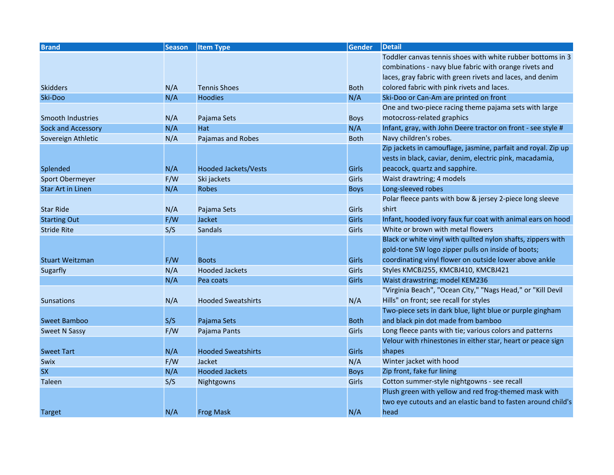| <b>Brand</b>             | <b>Season</b> | <b>Item Type</b>            | <b>Gender</b> | <b>Detail</b>                                                 |
|--------------------------|---------------|-----------------------------|---------------|---------------------------------------------------------------|
|                          |               |                             |               | Toddler canvas tennis shoes with white rubber bottoms in 3    |
|                          |               |                             |               | combinations - navy blue fabric with orange rivets and        |
|                          |               |                             |               | laces, gray fabric with green rivets and laces, and denim     |
| <b>Skidders</b>          | N/A           | <b>Tennis Shoes</b>         | <b>Both</b>   | colored fabric with pink rivets and laces.                    |
| Ski-Doo                  | N/A           | <b>Hoodies</b>              | N/A           | Ski-Doo or Can-Am are printed on front                        |
|                          |               |                             |               | One and two-piece racing theme pajama sets with large         |
| Smooth Industries        | N/A           | Pajama Sets                 | <b>Boys</b>   | motocross-related graphics                                    |
| Sock and Accessory       | N/A           | <b>Hat</b>                  | N/A           | Infant, gray, with John Deere tractor on front - see style #  |
| Sovereign Athletic       | N/A           | Pajamas and Robes           | <b>Both</b>   | Navy children's robes.                                        |
|                          |               |                             |               | Zip jackets in camouflage, jasmine, parfait and royal. Zip up |
|                          |               |                             |               | vests in black, caviar, denim, electric pink, macadamia,      |
| Splended                 | N/A           | <b>Hooded Jackets/Vests</b> | Girls         | peacock, quartz and sapphire.                                 |
| Sport Obermeyer          | F/W           | Ski jackets                 | Girls         | Waist drawtring; 4 models                                     |
| <b>Star Art in Linen</b> | N/A           | <b>Robes</b>                | <b>Boys</b>   | Long-sleeved robes                                            |
|                          |               |                             |               | Polar fleece pants with bow & jersey 2-piece long sleeve      |
| <b>Star Ride</b>         | N/A           | Pajama Sets                 | Girls         | shirt                                                         |
| <b>Starting Out</b>      | F/W           | Jacket                      | <b>Girls</b>  | Infant, hooded ivory faux fur coat with animal ears on hood   |
| <b>Stride Rite</b>       | S/S           | <b>Sandals</b>              | Girls         | White or brown with metal flowers                             |
|                          |               |                             |               | Black or white vinyl with quilted nylon shafts, zippers with  |
|                          |               |                             |               | gold-tone SW logo zipper pulls on inside of boots;            |
| <b>Stuart Weitzman</b>   | F/W           | <b>Boots</b>                | Girls         | coordinating vinyl flower on outside lower above ankle        |
| Sugarfly                 | N/A           | <b>Hooded Jackets</b>       | Girls         | Styles KMCBJ255, KMCBJ410, KMCBJ421                           |
|                          | N/A           | Pea coats                   | Girls         | Waist drawstring; model KEM236                                |
|                          |               |                             |               | "Virginia Beach", "Ocean City," "Nags Head," or "Kill Devil   |
| <b>Sunsations</b>        | N/A           | <b>Hooded Sweatshirts</b>   | N/A           | Hills" on front; see recall for styles                        |
|                          |               |                             |               | Two-piece sets in dark blue, light blue or purple gingham     |
| Sweet Bamboo             | S/S           | Pajama Sets                 | <b>Both</b>   | and black pin dot made from bamboo                            |
| <b>Sweet N Sassy</b>     | F/W           | Pajama Pants                | Girls         | Long fleece pants with tie; various colors and patterns       |
|                          |               |                             |               | Velour with rhinestones in either star, heart or peace sign   |
| <b>Sweet Tart</b>        | N/A           | <b>Hooded Sweatshirts</b>   | Girls         | shapes                                                        |
| Swix                     | F/W           | Jacket                      | N/A           | Winter jacket with hood                                       |
| <b>SX</b>                | N/A           | <b>Hooded Jackets</b>       | <b>Boys</b>   | Zip front, fake fur lining                                    |
| Taleen                   | S/S           | Nightgowns                  | Girls         | Cotton summer-style nightgowns - see recall                   |
|                          |               |                             |               | Plush green with yellow and red frog-themed mask with         |
|                          |               |                             |               | two eye cutouts and an elastic band to fasten around child's  |
| <b>Target</b>            | N/A           | <b>Frog Mask</b>            | N/A           | head                                                          |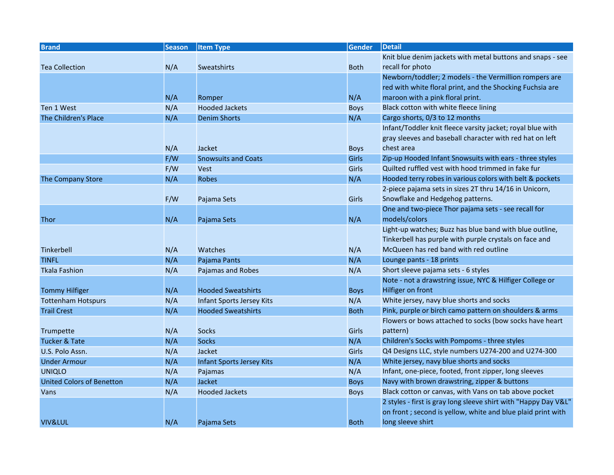| <b>Brand</b>                     | <b>Season</b> | <b>Item Type</b>                 | <b>Gender</b> | Detail                                                          |
|----------------------------------|---------------|----------------------------------|---------------|-----------------------------------------------------------------|
|                                  |               |                                  |               | Knit blue denim jackets with metal buttons and snaps - see      |
| <b>Tea Collection</b>            | N/A           | <b>Sweatshirts</b>               | <b>Both</b>   | recall for photo                                                |
|                                  |               |                                  |               | Newborn/toddler; 2 models - the Vermillion rompers are          |
|                                  |               |                                  |               | red with white floral print, and the Shocking Fuchsia are       |
|                                  | N/A           | Romper                           | N/A           | maroon with a pink floral print.                                |
| Ten 1 West                       | N/A           | <b>Hooded Jackets</b>            | <b>Boys</b>   | Black cotton with white fleece lining                           |
| The Children's Place             | N/A           | <b>Denim Shorts</b>              | N/A           | Cargo shorts, 0/3 to 12 months                                  |
|                                  |               |                                  |               | Infant/Toddler knit fleece varsity jacket; royal blue with      |
|                                  |               |                                  |               | gray sleeves and baseball character with red hat on left        |
|                                  | N/A           | Jacket                           | <b>Boys</b>   | chest area                                                      |
|                                  | F/W           | <b>Snowsuits and Coats</b>       | Girls         | Zip-up Hooded Infant Snowsuits with ears - three styles         |
|                                  | F/W           | <b>Vest</b>                      | Girls         | Quilted ruffled vest with hood trimmed in fake fur              |
| The Company Store                | N/A           | <b>Robes</b>                     | N/A           | Hooded terry robes in various colors with belt & pockets        |
|                                  |               |                                  |               | 2-piece pajama sets in sizes 2T thru 14/16 in Unicorn,          |
|                                  | F/W           | Pajama Sets                      | Girls         | Snowflake and Hedgehog patterns.                                |
|                                  |               |                                  |               | One and two-piece Thor pajama sets - see recall for             |
| <b>Thor</b>                      | N/A           | Pajama Sets                      | N/A           | models/colors                                                   |
|                                  |               |                                  |               | Light-up watches; Buzz has blue band with blue outline,         |
|                                  |               |                                  |               | Tinkerbell has purple with purple crystals on face and          |
| <b>Tinkerbell</b>                | N/A           | Watches                          | N/A           | McQueen has red band with red outline                           |
| <b>TINFL</b>                     | N/A           | Pajama Pants                     | N/A           | Lounge pants - 18 prints                                        |
| <b>Tkala Fashion</b>             | N/A           | Pajamas and Robes                | N/A           | Short sleeve pajama sets - 6 styles                             |
|                                  |               |                                  |               | Note - not a drawstring issue, NYC & Hilfiger College or        |
| <b>Tommy Hilfiger</b>            | N/A           | <b>Hooded Sweatshirts</b>        | <b>Boys</b>   | Hilfiger on front                                               |
| <b>Tottenham Hotspurs</b>        | N/A           | Infant Sports Jersey Kits        | N/A           | White jersey, navy blue shorts and socks                        |
| <b>Trail Crest</b>               | N/A           | <b>Hooded Sweatshirts</b>        | <b>Both</b>   | Pink, purple or birch camo pattern on shoulders & arms          |
|                                  |               |                                  |               | Flowers or bows attached to socks (bow socks have heart         |
| Trumpette                        | N/A           | <b>Socks</b>                     | Girls         | pattern)                                                        |
| Tucker & Tate                    | N/A           | <b>Socks</b>                     | N/A           | Children's Socks with Pompoms - three styles                    |
| U.S. Polo Assn.                  | N/A           | Jacket                           | Girls         | Q4 Designs LLC, style numbers U274-200 and U274-300             |
| <b>Under Armour</b>              | N/A           | <b>Infant Sports Jersey Kits</b> | N/A           | White jersey, navy blue shorts and socks                        |
| <b>UNIQLO</b>                    | N/A           | Pajamas                          | N/A           | Infant, one-piece, footed, front zipper, long sleeves           |
| <b>United Colors of Benetton</b> | N/A           | Jacket                           | <b>Boys</b>   | Navy with brown drawstring, zipper & buttons                    |
| Vans                             | N/A           | <b>Hooded Jackets</b>            | <b>Boys</b>   | Black cotton or canvas, with Vans on tab above pocket           |
|                                  |               |                                  |               | 2 styles - first is gray long sleeve shirt with "Happy Day V&L" |
|                                  |               |                                  |               | on front; second is yellow, white and blue plaid print with     |
| <b>VIV&amp;LUL</b>               | N/A           | Pajama Sets                      | <b>Both</b>   | long sleeve shirt                                               |